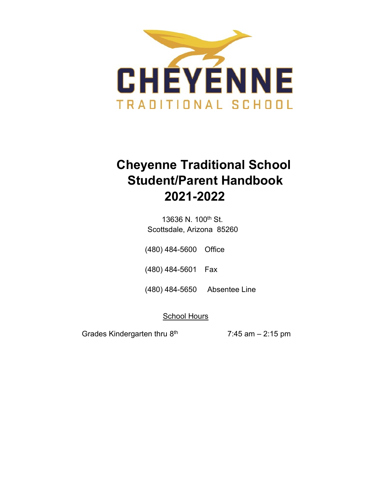

# **Cheyenne Traditional School Student/Parent Handbook 2021-2022**

13636 N. 100<sup>th</sup> St. Scottsdale, Arizona 85260

(480) 484-5600 Office

(480) 484-5601 Fax

(480) 484-5650 Absentee Line

School Hours

Grades Kindergarten thru 8

 $7:45$  am – 2:15 pm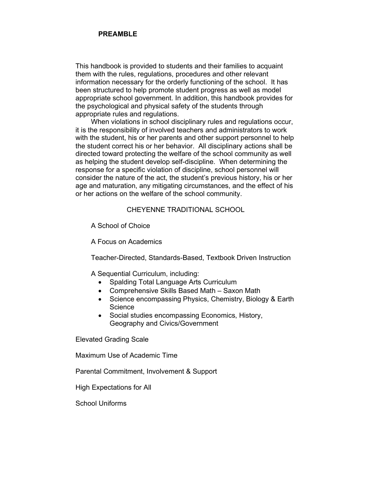### **PREAMBLE**

This handbook is provided to students and their families to acquaint them with the rules, regulations, procedures and other relevant information necessary for the orderly functioning of the school. It has been structured to help promote student progress as well as model appropriate school government. In addition, this handbook provides for the psychological and physical safety of the students through appropriate rules and regulations.

When violations in school disciplinary rules and regulations occur, it is the responsibility of involved teachers and administrators to work with the student, his or her parents and other support personnel to help the student correct his or her behavior. All disciplinary actions shall be directed toward protecting the welfare of the school community as well as helping the student develop self-discipline. When determining the response for a specific violation of discipline, school personnel will consider the nature of the act, the student's previous history, his or her age and maturation, any mitigating circumstances, and the effect of his or her actions on the welfare of the school community.

### CHEYENNE TRADITIONAL SCHOOL

A School of Choice

A Focus on Academics

Teacher-Directed, Standards-Based, Textbook Driven Instruction

A Sequential Curriculum, including:

- Spalding Total Language Arts Curriculum
- Comprehensive Skills Based Math Saxon Math
- Science encompassing Physics, Chemistry, Biology & Earth **Science**
- Social studies encompassing Economics, History, Geography and Civics/Government

Elevated Grading Scale

Maximum Use of Academic Time

Parental Commitment, Involvement & Support

High Expectations for All

School Uniforms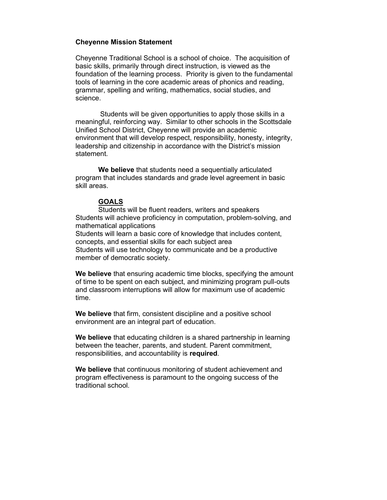### **Cheyenne Mission Statement**

Cheyenne Traditional School is a school of choice. The acquisition of basic skills, primarily through direct instruction, is viewed as the foundation of the learning process. Priority is given to the fundamental tools of learning in the core academic areas of phonics and reading, grammar, spelling and writing, mathematics, social studies, and science.

Students will be given opportunities to apply those skills in a meaningful, reinforcing way. Similar to other schools in the Scottsdale Unified School District, Cheyenne will provide an academic environment that will develop respect, responsibility, honesty, integrity, leadership and citizenship in accordance with the District's mission statement.

**We believe** that students need a sequentially articulated program that includes standards and grade level agreement in basic skill areas.

### **GOALS**

Students will be fluent readers, writers and speakers Students will achieve proficiency in computation, problem-solving, and mathematical applications Students will learn a basic core of knowledge that includes content, concepts, and essential skills for each subject area Students will use technology to communicate and be a productive member of democratic society.

**We believe** that ensuring academic time blocks, specifying the amount of time to be spent on each subject, and minimizing program pull-outs and classroom interruptions will allow for maximum use of academic time.

**We believe** that firm, consistent discipline and a positive school environment are an integral part of education.

**We believe** that educating children is a shared partnership in learning between the teacher, parents, and student. Parent commitment, responsibilities, and accountability is **required**.

**We believe** that continuous monitoring of student achievement and program effectiveness is paramount to the ongoing success of the traditional school.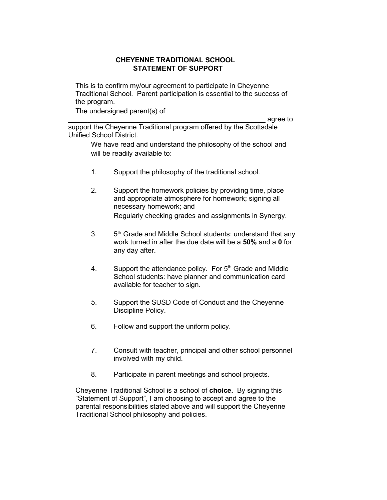### **CHEYENNE TRADITIONAL SCHOOL STATEMENT OF SUPPORT**

This is to confirm my/our agreement to participate in Cheyenne Traditional School. Parent participation is essential to the success of the program.

The undersigned parent(s) of

\_\_\_\_\_\_\_\_\_\_\_\_\_\_\_\_\_\_\_\_\_\_\_\_\_\_\_\_\_\_\_\_\_\_\_\_\_\_\_\_\_\_\_\_\_\_\_\_\_\_\_ agree to

support the Cheyenne Traditional program offered by the Scottsdale Unified School District.

> We have read and understand the philosophy of the school and will be readily available to:

- 1. Support the philosophy of the traditional school.
- 2. Support the homework policies by providing time, place and appropriate atmosphere for homework; signing all necessary homework; and Regularly checking grades and assignments in Synergy.
- $3<sub>1</sub>$ 5<sup>th</sup> Grade and Middle School students: understand that any work turned in after the due date will be a **50%** and a **0** for any day after.
- 4. Support the attendance policy. For  $5<sup>th</sup>$  Grade and Middle School students: have planner and communication card available for teacher to sign.
- 5. Support the SUSD Code of Conduct and the Cheyenne Discipline Policy.
- 6. Follow and support the uniform policy.
- 7. Consult with teacher, principal and other school personnel involved with my child.
- 8. Participate in parent meetings and school projects.

Cheyenne Traditional School is a school of **choice.** By signing this "Statement of Support", I am choosing to accept and agree to the parental responsibilities stated above and will support the Cheyenne Traditional School philosophy and policies.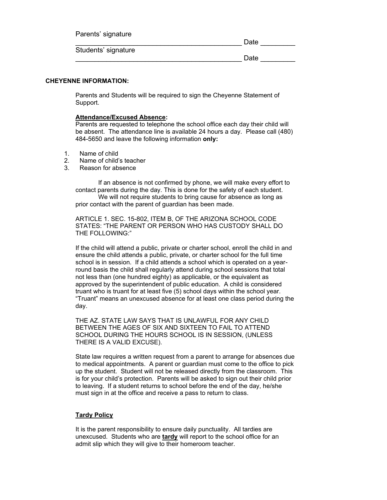| Parents' signature  |      |
|---------------------|------|
|                     | Date |
| Students' signature |      |
|                     | Date |

### **CHEYENNE INFORMATION:**

Parents and Students will be required to sign the Cheyenne Statement of Support.

### **Attendance/Excused Absence:**

Parents are requested to telephone the school office each day their child will be absent. The attendance line is available 24 hours a day. Please call (480) 484-5650 and leave the following information **only:**

- 1. Name of child
- 2. Name of child's teacher
- 3. Reason for absence

If an absence is not confirmed by phone, we will make every effort to contact parents during the day. This is done for the safety of each student. We will not require students to bring cause for absence as long as prior contact with the parent of guardian has been made.

ARTICLE 1. SEC. 15-802, ITEM B, OF THE ARIZONA SCHOOL CODE STATES: "THE PARENT OR PERSON WHO HAS CUSTODY SHALL DO THE FOLLOWING:"

If the child will attend a public, private or charter school, enroll the child in and ensure the child attends a public, private, or charter school for the full time school is in session. If a child attends a school which is operated on a yearround basis the child shall regularly attend during school sessions that total not less than (one hundred eighty) as applicable, or the equivalent as approved by the superintendent of public education. A child is considered truant who is truant for at least five (5) school days within the school year. "Truant" means an unexcused absence for at least one class period during the day.

THE AZ. STATE LAW SAYS THAT IS UNLAWFUL FOR ANY CHILD BETWEEN THE AGES OF SIX AND SIXTEEN TO FAIL TO ATTEND SCHOOL DURING THE HOURS SCHOOL IS IN SESSION, (UNLESS THERE IS A VALID EXCUSE).

State law requires a written request from a parent to arrange for absences due to medical appointments. A parent or guardian must come to the office to pick up the student. Student will not be released directly from the classroom. This is for your child's protection. Parents will be asked to sign out their child prior to leaving. If a student returns to school before the end of the day, he/she must sign in at the office and receive a pass to return to class.

### **Tardy Policy**

It is the parent responsibility to ensure daily punctuality. All tardies are unexcused. Students who are **tardy** will report to the school office for an admit slip which they will give to their homeroom teacher.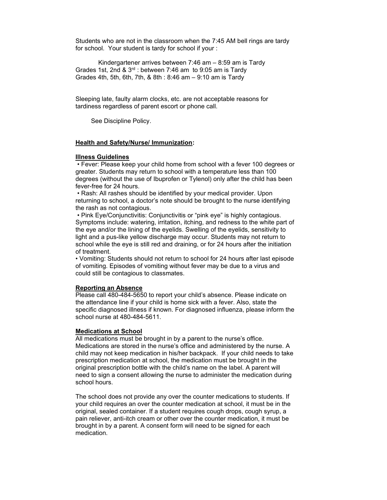Students who are not in the classroom when the 7:45 AM bell rings are tardy for school. Your student is tardy for school if your :

Kindergartener arrives between 7:46 am – 8:59 am is Tardy Grades 1st, 2nd &  $3<sup>rd</sup>$ : between 7:46 am to 9:05 am is Tardy Grades 4th, 5th, 6th, 7th, & 8th : 8:46 am – 9:10 am is Tardy

Sleeping late, faulty alarm clocks, etc. are not acceptable reasons for tardiness regardless of parent escort or phone call.

See Discipline Policy.

### **Health and Safety/Nurse/ Immunization:**

### **Illness Guidelines**

• Fever: Please keep your child home from school with a fever 100 degrees or greater. Students may return to school with a temperature less than 100 degrees (without the use of Ibuprofen or Tylenol) only after the child has been fever-free for 24 hours.

• Rash: All rashes should be identified by your medical provider. Upon returning to school, a doctor's note should be brought to the nurse identifying the rash as not contagious.

• Pink Eye/Conjunctivitis: Conjunctivitis or "pink eye" is highly contagious. Symptoms include: watering, irritation, itching, and redness to the white part of the eye and/or the lining of the eyelids. Swelling of the eyelids, sensitivity to light and a pus-like yellow discharge may occur. Students may not return to school while the eye is still red and draining, or for 24 hours after the initiation of treatment.

• Vomiting: Students should not return to school for 24 hours after last episode of vomiting. Episodes of vomiting without fever may be due to a virus and could still be contagious to classmates.

### **Reporting an Absence**

Please call 480-484-5650 to report your child's absence. Please indicate on the attendance line if your child is home sick with a fever. Also, state the specific diagnosed illness if known. For diagnosed influenza, please inform the school nurse at 480-484-5611.

### **Medications at School**

All medications must be brought in by a parent to the nurse's office. Medications are stored in the nurse's office and administered by the nurse. A child may not keep medication in his/her backpack. If your child needs to take prescription medication at school, the medication must be brought in the original prescription bottle with the child's name on the label. A parent will need to sign a consent allowing the nurse to administer the medication during school hours.

The school does not provide any over the counter medications to students. If your child requires an over the counter medication at school, it must be in the original, sealed container. If a student requires cough drops, cough syrup, a pain reliever, anti-itch cream or other over the counter medication, it must be brought in by a parent. A consent form will need to be signed for each medication.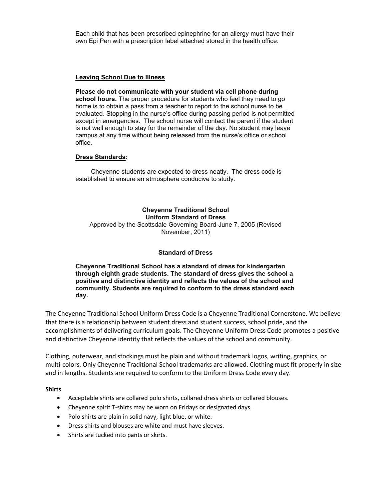Each child that has been prescribed epinephrine for an allergy must have their own Epi Pen with a prescription label attached stored in the health office.

### **Leaving School Due to Illness**

**Please do not communicate with your student via cell phone during school hours.** The proper procedure for students who feel they need to go home is to obtain a pass from a teacher to report to the school nurse to be evaluated. Stopping in the nurse's office during passing period is not permitted except in emergencies. The school nurse will contact the parent if the student is not well enough to stay for the remainder of the day. No student may leave campus at any time without being released from the nurse's office or school office.

### **Dress Standards:**

Cheyenne students are expected to dress neatly. The dress code is established to ensure an atmosphere conducive to study.

**Cheyenne Traditional School Uniform Standard of Dress** Approved by the Scottsdale Governing Board-June 7, 2005 (Revised November, 2011)

### **Standard of Dress**

**Cheyenne Traditional School has a standard of dress for kindergarten through eighth grade students. The standard of dress gives the school a positive and distinctive identity and reflects the values of the school and community. Students are required to conform to the dress standard each day.** 

The Cheyenne Traditional School Uniform Dress Code is a Cheyenne Traditional Cornerstone. We believe that there is a relationship between student dress and student success, school pride, and the accomplishments of delivering curriculum goals. The Cheyenne Uniform Dress Code promotes a positive and distinctive Cheyenne identity that reflects the values of the school and community.

Clothing, outerwear, and stockings must be plain and without trademark logos, writing, graphics, or multi-colors. Only Cheyenne Traditional School trademarks are allowed. Clothing must fit properly in size and in lengths. Students are required to conform to the Uniform Dress Code every day.

### **Shirts**

- Acceptable shirts are collared polo shirts, collared dress shirts or collared blouses.
- Cheyenne spirit T-shirts may be worn on Fridays or designated days.
- Polo shirts are plain in solid navy, light blue, or white.
- Dress shirts and blouses are white and must have sleeves.
- Shirts are tucked into pants or skirts.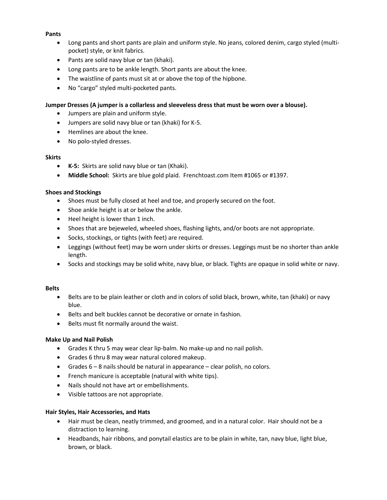### **Pants**

- Long pants and short pants are plain and uniform style. No jeans, colored denim, cargo styled (multipocket) style, or knit fabrics.
- Pants are solid navy blue or tan (khaki).
- Long pants are to be ankle length. Short pants are about the knee.
- The waistline of pants must sit at or above the top of the hipbone.
- No "cargo" styled multi-pocketed pants.

### **Jumper Dresses (A jumper is a collarless and sleeveless dress that must be worn over a blouse).**

- Jumpers are plain and uniform style.
- Jumpers are solid navy blue or tan (khaki) for K-5.
- Hemlines are about the knee.
- No polo-styled dresses.

### **Skirts**

- **K-5:** Skirts are solid navy blue or tan (Khaki).
- **Middle School:** Skirts are blue gold plaid. Frenchtoast.com Item #1065 or #1397.

### **Shoes and Stockings**

- Shoes must be fully closed at heel and toe, and properly secured on the foot.
- Shoe ankle height is at or below the ankle.
- Heel height is lower than 1 inch.
- Shoes that are bejeweled, wheeled shoes, flashing lights, and/or boots are not appropriate.
- Socks, stockings, or tights (with feet) are required.
- Leggings (without feet) may be worn under skirts or dresses. Leggings must be no shorter than ankle length.
- Socks and stockings may be solid white, navy blue, or black. Tights are opaque in solid white or navy.

### **Belts**

- Belts are to be plain leather or cloth and in colors of solid black, brown, white, tan (khaki) or navy blue.
- Belts and belt buckles cannot be decorative or ornate in fashion.
- Belts must fit normally around the waist.

### **Make Up and Nail Polish**

- Grades K thru 5 may wear clear lip-balm. No make-up and no nail polish.
- Grades 6 thru 8 may wear natural colored makeup.
- Grades 6 8 nails should be natural in appearance clear polish, no colors.
- French manicure is acceptable (natural with white tips).
- Nails should not have art or embellishments.
- Visible tattoos are not appropriate.

### **Hair Styles, Hair Accessories, and Hats**

- Hair must be clean, neatly trimmed, and groomed, and in a natural color. Hair should not be a distraction to learning.
- Headbands, hair ribbons, and ponytail elastics are to be plain in white, tan, navy blue, light blue, brown, or black.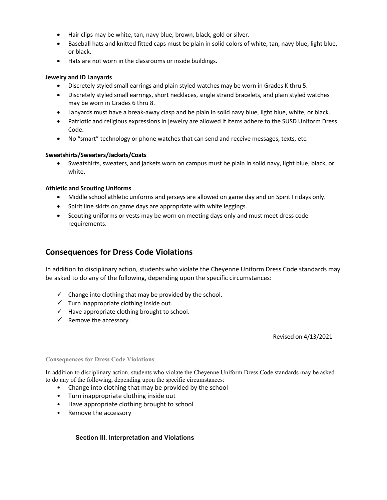- Hair clips may be white, tan, navy blue, brown, black, gold or silver.
- Baseball hats and knitted fitted caps must be plain in solid colors of white, tan, navy blue, light blue, or black.
- Hats are not worn in the classrooms or inside buildings.

### **Jewelry and ID Lanyards**

- Discretely styled small earrings and plain styled watches may be worn in Grades K thru 5.
- Discretely styled small earrings, short necklaces, single strand bracelets, and plain styled watches may be worn in Grades 6 thru 8.
- Lanyards must have a break-away clasp and be plain in solid navy blue, light blue, white, or black.
- Patriotic and religious expressions in jewelry are allowed if items adhere to the SUSD Uniform Dress Code.
- No "smart" technology or phone watches that can send and receive messages, texts, etc.

### **Sweatshirts/Sweaters/Jackets/Coats**

• Sweatshirts, sweaters, and jackets worn on campus must be plain in solid navy, light blue, black, or white.

### **Athletic and Scouting Uniforms**

- Middle school athletic uniforms and jerseys are allowed on game day and on Spirit Fridays only.
- Spirit line skirts on game days are appropriate with white leggings.
- Scouting uniforms or vests may be worn on meeting days only and must meet dress code requirements.

### **Consequences for Dress Code Violations**

In addition to disciplinary action, students who violate the Cheyenne Uniform Dress Code standards may be asked to do any of the following, depending upon the specific circumstances:

- $\checkmark$  Change into clothing that may be provided by the school.
- $\checkmark$  Turn inappropriate clothing inside out.
- $\checkmark$  Have appropriate clothing brought to school.
- $\checkmark$  Remove the accessory.

Revised on 4/13/2021

### **Consequences for Dress Code Violations**

In addition to disciplinary action, students who violate the Cheyenne Uniform Dress Code standards may be asked to do any of the following, depending upon the specific circumstances:

- Change into clothing that may be provided by the school
- Turn inappropriate clothing inside out
- Have appropriate clothing brought to school
- Remove the accessory

### **Section III. Interpretation and Violations**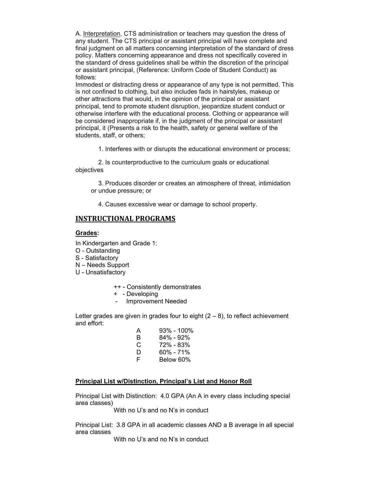A. Interpretation. CTS administration or teachers may question the dress of any student. The CTS principal or assistant principal will have complete and final judgment on all matters concerning interpretation of the standard of dress policy. Matters concerning appearance and dress not specifically covered in the standard of dress guidelines shall be within the discretion of the principal or assistant principal, (Reference: Uniform Code of Student Conduct) as follows:

Immodest or distracting dress or appearance of any type is not permitted. This is not confined to clothing, but also includes fads in hairstyles, makeup or other attractions that would, in the opinion of the principal or assistant principal, tend to promote student disruption, jeopardize student conduct or otherwise interfere with the educational process. Clothing or appearance will be considered inappropriate if, in the judgment of the principal or assistant principal, it (Presents a risk to the health, safety or general welfare of the students, staff, or others;

1. Interferes with or disrupts the educational environment or process;

2. Is counterproductive to the curriculum goals or educational objectives

3. Produces disorder or creates an atmosphere of threat, intimidation or undue pressure; or

4. Causes excessive wear or damage to school property.

### **INSTRUCTIONAL PROGRAMS**

### **Grades:**

In Kindergarten and Grade 1:

- O Outstanding
- S Satisfactory
- N Needs Support
- U Unsatisfactory
	- ++ Consistently demonstrates
	- + Developing
	- Improvement Needed

Letter grades are given in grades four to eight  $(2 - 8)$ , to reflect achievement and effort:

| А | 93% - 100% |
|---|------------|
| в | 84% - 92%  |
| C | 72% - 83%  |
| D | 60% - 71%  |
| F | Below 60%  |

### **Principal List w/Distinction, Principal's List and Honor Roll**

Principal List with Distinction: 4.0 GPA (An A in every class including special area classes)

With no U's and no N's in conduct

Principal List: 3.8 GPA in all academic classes AND a B average in all special area classes

With no U's and no N's in conduct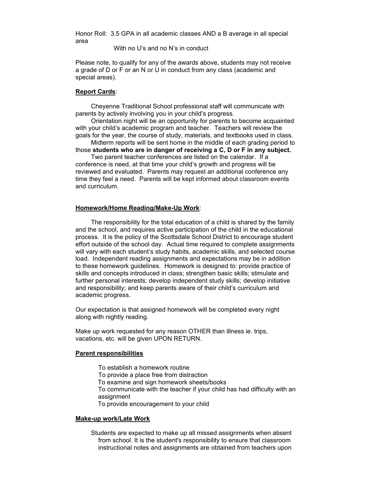Honor Roll: 3.5 GPA in all academic classes AND a B average in all special area

With no U's and no N's in conduct

Please note, to qualify for any of the awards above, students may not receive a grade of D or F or an N or U in conduct from any class (academic and special areas).

### **Report Cards**:

Cheyenne Traditional School professional staff will communicate with parents by actively involving you in your child's progress.

Orientation night will be an opportunity for parents to become acquainted with your child's academic program and teacher. Teachers will review the goals for the year, the course of study, materials, and textbooks used in class.

Midterm reports will be sent home in the middle of each grading period to those **students who are in danger of receiving a C, D or F in any subject.**

Two parent teacher conferences are listed on the calendar. If a conference is need, at that time your child's growth and progress will be reviewed and evaluated. Parents may request an additional conference any time they feel a need. Parents will be kept informed about classroom events and curriculum.

### **Homework/Home Reading/Make-Up Work**:

The responsibility for the total education of a child is shared by the family and the school, and requires active participation of the child in the educational process. It is the policy of the Scottsdale School District to encourage student effort outside of the school day. Actual time required to complete assignments will vary with each student's study habits, academic skills, and selected course load. Independent reading assignments and expectations may be in addition to these homework guidelines. Homework is designed to: provide practice of skills and concepts introduced in class; strengthen basic skills; stimulate and further personal interests; develop independent study skills; develop initiative and responsibility; and keep parents aware of their child's curriculum and academic progress.

Our expectation is that assigned homework will be completed every night along with nightly reading.

Make up work requested for any reason OTHER than illness ie. trips, vacations, etc. will be given UPON RETURN.

### **Parent responsibilities**

To establish a homework routine To provide a place free from distraction To examine and sign homework sheets/books To communicate with the teacher if your child has had difficulty with an assignment To provide encouragement to your child

#### **Make-up work/Late Work**

Students are expected to make up all missed assignments when absent from school. It is the student's responsibility to ensure that classroom instructional notes and assignments are obtained from teachers upon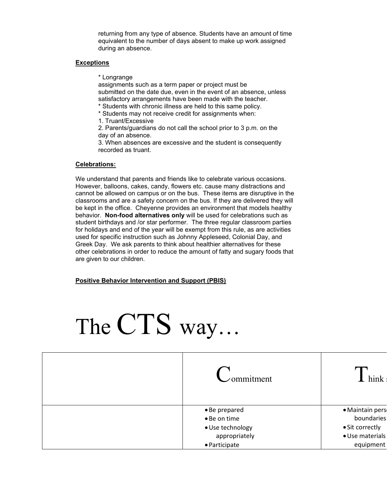returning from any type of absence. Students have an amount of time equivalent to the number of days absent to make up work assigned during an absence.

### **Exceptions**

\* Longrange

assignments such as a term paper or project must be submitted on the date due, even in the event of an absence, unless satisfactory arrangements have been made with the teacher.

- \* Students with chronic illness are held to this same policy.
- \* Students may not receive credit for assignments when:
- 1. Truant/Excessive

2. Parents/guardians do not call the school prior to 3 p.m. on the day of an absence.

3. When absences are excessive and the student is consequently recorded as truant.

### **Celebrations:**

We understand that parents and friends like to celebrate various occasions. However, balloons, cakes, candy, flowers etc. cause many distractions and cannot be allowed on campus or on the bus. These items are disruptive in the classrooms and are a safety concern on the bus. If they are delivered they will be kept in the office. Cheyenne provides an environment that models healthy behavior. **Non-food alternatives only** will be used for celebrations such as student birthdays and /or star performer. The three regular classroom parties for holidays and end of the year will be exempt from this rule, as are activities used for specific instruction such as Johnny Appleseed, Colonial Day, and Greek Day. We ask parents to think about healthier alternatives for these other celebrations in order to reduce the amount of fatty and sugary foods that are given to our children.

**Positive Behavior Intervention and Support (PBIS)**



| ommitment        | hink            |
|------------------|-----------------|
| • Be prepared    | · Maintain pers |
| • Be on time     | boundaries      |
| · Use technology | • Sit correctly |
| appropriately    | · Use materials |
| • Participate    | equipment       |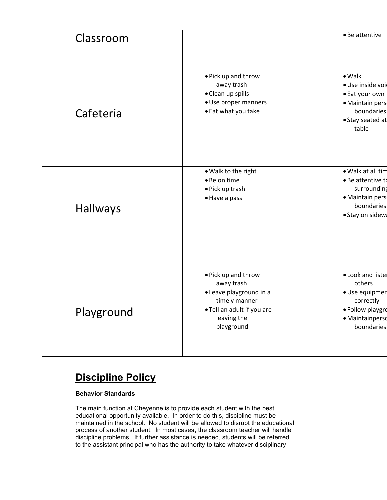| Classroom       |                                                                                                                                          | • Be attentive                                                                                                     |
|-----------------|------------------------------------------------------------------------------------------------------------------------------------------|--------------------------------------------------------------------------------------------------------------------|
| Cafeteria       | • Pick up and throw<br>away trash<br>• Clean up spills<br>· Use proper manners<br>• Eat what you take                                    | $\bullet$ Walk<br>· Use inside voi<br>• Eat your own<br>· Maintain pers<br>boundaries<br>• Stay seated at<br>table |
| <b>Hallways</b> | . Walk to the right<br>• Be on time<br>· Pick up trash<br>• Have a pass                                                                  | • Walk at all tim<br>• Be attentive to<br>surrounding<br>· Maintain pers<br>boundaries<br>· Stay on sidew:         |
| Playground      | • Pick up and throw<br>away trash<br>• Leave playground in a<br>timely manner<br>. Tell an adult if you are<br>leaving the<br>playground | . Look and liste<br>others<br>· Use equipmer<br>correctly<br>· Follow playgro<br>· Maintainperso<br>boundaries     |

## **Discipline Policy**

### **Behavior Standards**

The main function at Cheyenne is to provide each student with the best educational opportunity available. In order to do this, discipline must be maintained in the school. No student will be allowed to disrupt the educational process of another student. In most cases, the classroom teacher will handle discipline problems. If further assistance is needed, students will be referred to the assistant principal who has the authority to take whatever disciplinary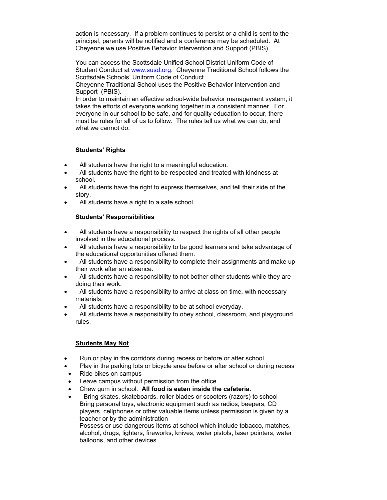action is necessary. If a problem continues to persist or a child is sent to the principal, parents will be notified and a conference may be scheduled. At Cheyenne we use Positive Behavior Intervention and Support (PBIS).

You can access the Scottsdale Unified School District Uniform Code of Student Conduct at [www.susd.org.](http://www.susd.org/) Cheyenne Traditional School follows the Scottsdale Schools' Uniform Code of Conduct.

Cheyenne Traditional School uses the Positive Behavior Intervention and Support (PBIS).

In order to maintain an effective school-wide behavior management system, it takes the efforts of everyone working together in a consistent manner. For everyone in our school to be safe, and for quality education to occur, there must be rules for all of us to follow. The rules tell us what we can do, and what we cannot do.

### **Students' Rights**

- All students have the right to a meaningful education.
- All students have the right to be respected and treated with kindness at school.
- All students have the right to express themselves, and tell their side of the story.
- All students have a right to a safe school.

### **Students' Responsibilities**

- All students have a responsibility to respect the rights of all other people involved in the educational process.
- All students have a responsibility to be good learners and take advantage of the educational opportunities offered them.
- All students have a responsibility to complete their assignments and make up their work after an absence.
- All students have a responsibility to not bother other students while they are doing their work.
- All students have a responsibility to arrive at class on time, with necessary materials.
- All students have a responsibility to be at school everyday.
- All students have a responsibility to obey school, classroom, and playground rules.

### **Students May Not**

- Run or play in the corridors during recess or before or after school
- Play in the parking lots or bicycle area before or after school or during recess
- Ride bikes on campus
- Leave campus without permission from the office
- Chew gum in school. **All food is eaten inside the cafeteria.**
- Bring skates, skateboards, roller blades or scooters (razors) to school Bring personal toys, electronic equipment such as radios, beepers, CD players, cellphones or other valuable items unless permission is given by a teacher or by the administration Possess or use dangerous items at school which include tobacco, matches, alcohol, drugs, lighters, fireworks, knives, water pistols, laser pointers, water balloons, and other devices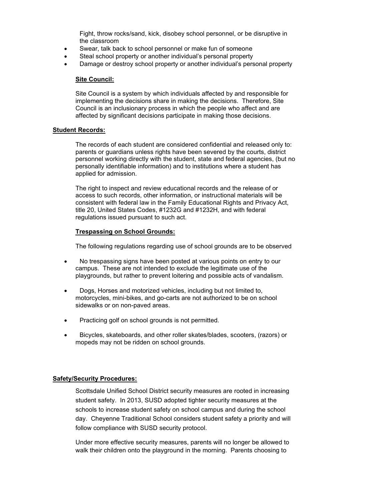Fight, throw rocks/sand, kick, disobey school personnel, or be disruptive in the classroom

- Swear, talk back to school personnel or make fun of someone
- Steal school property or another individual's personal property
- Damage or destroy school property or another individual's personal property

### **Site Council:**

Site Council is a system by which individuals affected by and responsible for implementing the decisions share in making the decisions. Therefore, Site Council is an inclusionary process in which the people who affect and are affected by significant decisions participate in making those decisions.

### **Student Records:**

The records of each student are considered confidential and released only to: parents or guardians unless rights have been severed by the courts, district personnel working directly with the student, state and federal agencies, (but no personally identifiable information) and to institutions where a student has applied for admission.

The right to inspect and review educational records and the release of or access to such records, other information, or instructional materials will be consistent with federal law in the Family Educational Rights and Privacy Act, title 20, United States Codes, #1232G and #1232H, and with federal regulations issued pursuant to such act.

### **Trespassing on School Grounds:**

The following regulations regarding use of school grounds are to be observed

- No trespassing signs have been posted at various points on entry to our campus. These are not intended to exclude the legitimate use of the playgrounds, but rather to prevent loitering and possible acts of vandalism.
- Dogs, Horses and motorized vehicles, including but not limited to, motorcycles, mini-bikes, and go-carts are not authorized to be on school sidewalks or on non-paved areas.
- Practicing golf on school grounds is not permitted.
- Bicycles, skateboards, and other roller skates/blades, scooters, (razors) or mopeds may not be ridden on school grounds.

### **Safety/Security Procedures:**

Scottsdale Unified School District security measures are rooted in increasing student safety. In 2013, SUSD adopted tighter security measures at the schools to increase student safety on school campus and during the school day. Cheyenne Traditional School considers student safety a priority and will follow compliance with SUSD security protocol.

Under more effective security measures, parents will no longer be allowed to walk their children onto the playground in the morning. Parents choosing to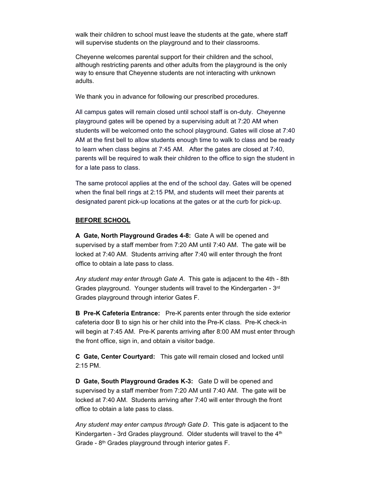walk their children to school must leave the students at the gate, where staff will supervise students on the playground and to their classrooms.

Cheyenne welcomes parental support for their children and the school, although restricting parents and other adults from the playground is the only way to ensure that Cheyenne students are not interacting with unknown adults.

We thank you in advance for following our prescribed procedures.

All campus gates will remain closed until school staff is on-duty. Cheyenne playground gates will be opened by a supervising adult at 7:20 AM when students will be welcomed onto the school playground. Gates will close at 7:40 AM at the first bell to allow students enough time to walk to class and be ready to learn when class begins at 7:45 AM. After the gates are closed at 7:40, parents will be required to walk their children to the office to sign the student in for a late pass to class.

The same protocol applies at the end of the school day. Gates will be opened when the final bell rings at 2:15 PM, and students will meet their parents at designated parent pick-up locations at the gates or at the curb for pick-up.

### **BEFORE SCHOOL**

**A Gate, North Playground Grades 4-8:** Gate A will be opened and supervised by a staff member from 7:20 AM until 7:40 AM. The gate will be locked at 7:40 AM. Students arriving after 7:40 will enter through the front office to obtain a late pass to class.

*Any student may enter through Gate A*. This gate is adjacent to the 4th - 8th Grades playground. Younger students will travel to the Kindergarten - 3<sup>rd</sup> Grades playground through interior Gates F.

**B Pre-K Cafeteria Entrance:** Pre-K parents enter through the side exterior cafeteria door B to sign his or her child into the Pre-K class. Pre-K check-in will begin at 7:45 AM. Pre-K parents arriving after 8:00 AM must enter through the front office, sign in, and obtain a visitor badge.

**C Gate, Center Courtyard:** This gate will remain closed and locked until 2:15 PM.

**D Gate, South Playground Grades K-3:** Gate D will be opened and supervised by a staff member from 7:20 AM until 7:40 AM. The gate will be locked at 7:40 AM. Students arriving after 7:40 will enter through the front office to obtain a late pass to class.

*Any student may enter campus through Gate D*. This gate is adjacent to the Kindergarten - 3rd Grades playground. Older students will travel to the  $4<sup>th</sup>$ Grade - 8<sup>th</sup> Grades playground through interior gates F.